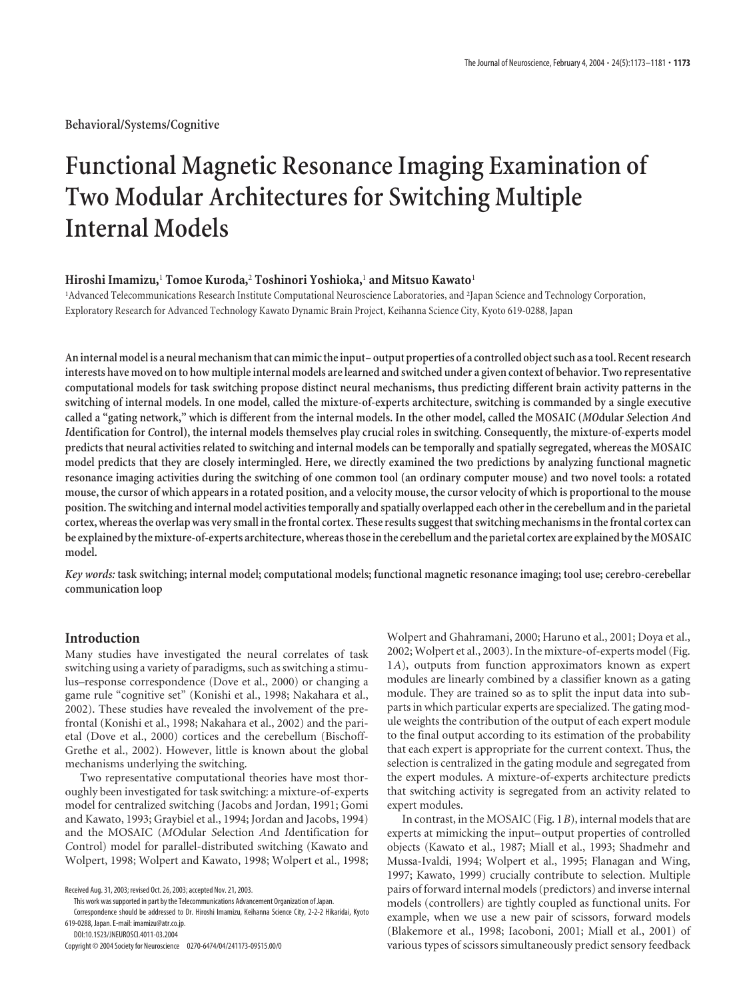**Behavioral/Systems/Cognitive**

# **Functional Magnetic Resonance Imaging Examination of Two Modular Architectures for Switching Multiple Internal Models**

#### **Hiroshi Imamizu,**<sup>1</sup> **Tomoe Kuroda,**<sup>2</sup> **Toshinori Yoshioka,**<sup>1</sup> **and Mitsuo Kawato**<sup>1</sup>

1 Advanced Telecommunications Research Institute Computational Neuroscience Laboratories, and <sup>2</sup> Japan Science and Technology Corporation, Exploratory Research for Advanced Technology Kawato Dynamic Brain Project, Keihanna Science City, Kyoto 619-0288, Japan

**An internal model is a neural mechanism that can mimic the input– output properties of a controlled object such as a tool. Recent research interests have moved on to how multiple internal models are learned and switched under a given context of behavior. Two representative computational models for task switching propose distinct neural mechanisms, thus predicting different brain activity patterns in the switching of internal models. In one model, called the mixture-of-experts architecture, switching is commanded by a single executive called a "gating network," which is different from the internal models. In the other model, called the MOSAIC (***MO***dular** *S***election** *A***nd** *I***dentification for** *C***ontrol), the internal models themselves play crucial roles in switching. Consequently, the mixture-of-experts model predicts that neural activities related to switching and internal models can be temporally and spatially segregated, whereas the MOSAIC model predicts that they are closely intermingled. Here, we directly examined the two predictions by analyzing functional magnetic resonance imaging activities during the switching of one common tool (an ordinary computer mouse) and two novel tools: a rotated mouse, the cursor of which appears in a rotated position, and a velocity mouse, the cursor velocity of which is proportional to the mouse position. The switching and internal model activities temporally and spatially overlapped each other in the cerebellum and in the parietal cortex, whereas the overlap was very small in the frontal cortex. These results suggest that switching mechanisms in the frontal cortex can be explained by the mixture-of-experts architecture, whereas those in the cerebellum and the parietal cortex are explained by the MOSAIC model.**

*Key words:* **task switching; internal model; computational models; functional magnetic resonance imaging; tool use; cerebro-cerebellar communication loop**

### **Introduction**

Many studies have investigated the neural correlates of task switching using a variety of paradigms, such as switching a stimulus–response correspondence (Dove et al., 2000) or changing a game rule "cognitive set" (Konishi et al., 1998; Nakahara et al., 2002). These studies have revealed the involvement of the prefrontal (Konishi et al., 1998; Nakahara et al., 2002) and the parietal (Dove et al., 2000) cortices and the cerebellum (Bischoff-Grethe et al., 2002). However, little is known about the global mechanisms underlying the switching.

Two representative computational theories have most thoroughly been investigated for task switching: a mixture-of-experts model for centralized switching (Jacobs and Jordan, 1991; Gomi and Kawato, 1993; Graybiel et al., 1994; Jordan and Jacobs, 1994) and the MOSAIC (*MO*dular *S*election *A*nd *I*dentification for *C*ontrol) model for parallel-distributed switching (Kawato and Wolpert, 1998; Wolpert and Kawato, 1998; Wolpert et al., 1998;

Received Aug. 31, 2003; revised Oct. 26, 2003; accepted Nov. 21, 2003.

This work was supported in part by the Telecommunications Advancement Organization of Japan.

Correspondence should be addressed to Dr. Hiroshi Imamizu, Keihanna Science City, 2-2-2 Hikaridai, Kyoto 619-0288, Japan. E-mail: imamizu@atr.co.jp.

DOI:10.1523/JNEUROSCI.4011-03.2004

Copyright © 2004 Society for Neuroscience 0270-6474/04/241173-09\$15.00/0

Wolpert and Ghahramani, 2000; Haruno et al., 2001; Doya et al., 2002; Wolpert et al., 2003). In the mixture-of-experts model (Fig. 1*A*), outputs from function approximators known as expert modules are linearly combined by a classifier known as a gating module. They are trained so as to split the input data into subparts in which particular experts are specialized. The gating module weights the contribution of the output of each expert module to the final output according to its estimation of the probability that each expert is appropriate for the current context. Thus, the selection is centralized in the gating module and segregated from the expert modules. A mixture-of-experts architecture predicts that switching activity is segregated from an activity related to expert modules.

In contrast, in the MOSAIC (Fig. 1*B*), internal models that are experts at mimicking the input– output properties of controlled objects (Kawato et al., 1987; Miall et al., 1993; Shadmehr and Mussa-Ivaldi, 1994; Wolpert et al., 1995; Flanagan and Wing, 1997; Kawato, 1999) crucially contribute to selection. Multiple pairs of forward internal models (predictors) and inverse internal models (controllers) are tightly coupled as functional units. For example, when we use a new pair of scissors, forward models (Blakemore et al., 1998; Iacoboni, 2001; Miall et al., 2001) of various types of scissors simultaneously predict sensory feedback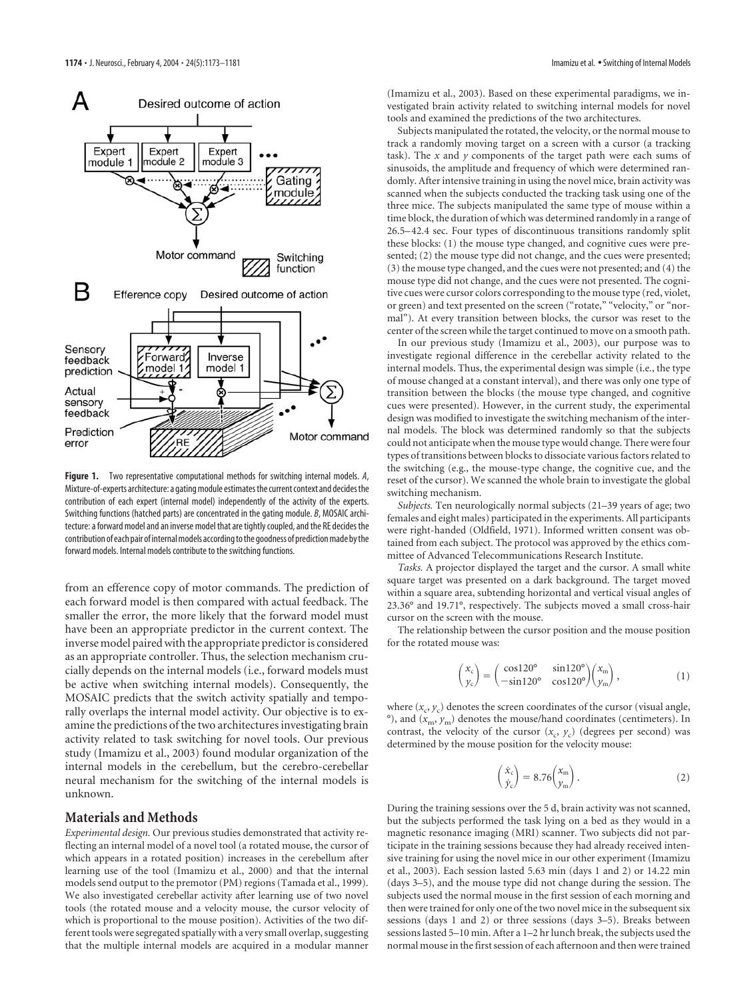

**Figure 1.** Two representative computational methods for switching internal models. *A*, Mixture-of-experts architecture: a gating module estimates the current context and decides the contribution of each expert (internal model) independently of the activity of the experts. Switching functions (hatched parts) are concentrated in the gating module. *B*, MOSAIC architecture: a forward model and an inverse model that are tightly coupled, and the RE decides the contribution of each pair of internal models according to the goodness of prediction made by the forward models. Internal models contribute to the switching functions.

from an efference copy of motor commands. The prediction of each forward model is then compared with actual feedback. The smaller the error, the more likely that the forward model must have been an appropriate predictor in the current context. The inverse model paired with the appropriate predictor is considered as an appropriate controller. Thus, the selection mechanism crucially depends on the internal models (i.e., forward models must be active when switching internal models). Consequently, the MOSAIC predicts that the switch activity spatially and temporally overlaps the internal model activity. Our objective is to examine the predictions of the two architectures investigating brain activity related to task switching for novel tools. Our previous study (Imamizu et al., 2003) found modular organization of the internal models in the cerebellum, but the cerebro-cerebellar neural mechanism for the switching of the internal models is unknown.

#### **Materials and Methods**

*Experimental design.* Our previous studies demonstrated that activity reflecting an internal model of a novel tool (a rotated mouse, the cursor of which appears in a rotated position) increases in the cerebellum after learning use of the tool (Imamizu et al., 2000) and that the internal models send output to the premotor (PM) regions (Tamada et al., 1999). We also investigated cerebellar activity after learning use of two novel tools (the rotated mouse and a velocity mouse, the cursor velocity of which is proportional to the mouse position). Activities of the two different tools were segregated spatially with a very small overlap, suggesting that the multiple internal models are acquired in a modular manner

(Imamizu et al., 2003). Based on these experimental paradigms, we investigated brain activity related to switching internal models for novel tools and examined the predictions of the two architectures.

Subjects manipulated the rotated, the velocity, or the normal mouse to track a randomly moving target on a screen with a cursor (a tracking task). The *x* and *y* components of the target path were each sums of sinusoids, the amplitude and frequency of which were determined randomly. After intensive training in using the novel mice, brain activity was scanned when the subjects conducted the tracking task using one of the three mice. The subjects manipulated the same type of mouse within a time block, the duration of which was determined randomly in a range of 26.5–42.4 sec. Four types of discontinuous transitions randomly split these blocks: (1) the mouse type changed, and cognitive cues were presented; (2) the mouse type did not change, and the cues were presented; (3) the mouse type changed, and the cues were not presented; and (4) the mouse type did not change, and the cues were not presented. The cognitive cues were cursor colors corresponding to the mouse type (red, violet, or green) and text presented on the screen ("rotate," "velocity," or "normal"). At every transition between blocks, the cursor was reset to the center of the screen while the target continued to move on a smooth path.

In our previous study (Imamizu et al., 2003), our purpose was to investigate regional difference in the cerebellar activity related to the internal models. Thus, the experimental design was simple (i.e., the type of mouse changed at a constant interval), and there was only one type of transition between the blocks (the mouse type changed, and cognitive cues were presented). However, in the current study, the experimental design was modified to investigate the switching mechanism of the internal models. The block was determined randomly so that the subjects could not anticipate when the mouse type would change. There were four types of transitions between blocks to dissociate various factors related to the switching (e.g., the mouse-type change, the cognitive cue, and the reset of the cursor). We scanned the whole brain to investigate the global switching mechanism.

*Subjects.* Ten neurologically normal subjects (21–39 years of age; two females and eight males) participated in the experiments. All participants were right-handed (Oldfield, 1971). Informed written consent was obtained from each subject. The protocol was approved by the ethics committee of Advanced Telecommunications Research Institute.

*Tasks.* A projector displayed the target and the cursor. A small white square target was presented on a dark background. The target moved within a square area, subtending horizontal and vertical visual angles of 23.36° and 19.71°, respectively. The subjects moved a small cross-hair cursor on the screen with the mouse.

The relationship between the cursor position and the mouse position for the rotated mouse was:

$$
\begin{pmatrix} x_c \\ y_c \end{pmatrix} = \begin{pmatrix} \cos 120^\circ & \sin 120^\circ \\ -\sin 120^\circ & \cos 120^\circ \end{pmatrix} \begin{pmatrix} x_m \\ y_m \end{pmatrix}, \tag{1}
$$

where  $(x_c, y_c)$  denotes the screen coordinates of the cursor (visual angle,  $^{\circ}$ ), and  $(x_m, y_m)$  denotes the mouse/hand coordinates (centimeters). In contrast, the velocity of the cursor  $(x_c, y_c)$  (degrees per second) was determined by the mouse position for the velocity mouse:

$$
\begin{pmatrix} \dot{x}_c \\ \dot{y}_c \end{pmatrix} = 8.76 \begin{pmatrix} x_m \\ y_m \end{pmatrix} . \tag{2}
$$

During the training sessions over the 5 d, brain activity was not scanned, but the subjects performed the task lying on a bed as they would in a magnetic resonance imaging (MRI) scanner. Two subjects did not participate in the training sessions because they had already received intensive training for using the novel mice in our other experiment (Imamizu et al., 2003). Each session lasted 5.63 min (days 1 and 2) or 14.22 min (days 3–5), and the mouse type did not change during the session. The subjects used the normal mouse in the first session of each morning and then were trained for only one of the two novel mice in the subsequent six sessions (days 1 and 2) or three sessions (days 3–5). Breaks between sessions lasted 5–10 min. After a 1–2 hr lunch break, the subjects used the normal mouse in the first session of each afternoon and then were trained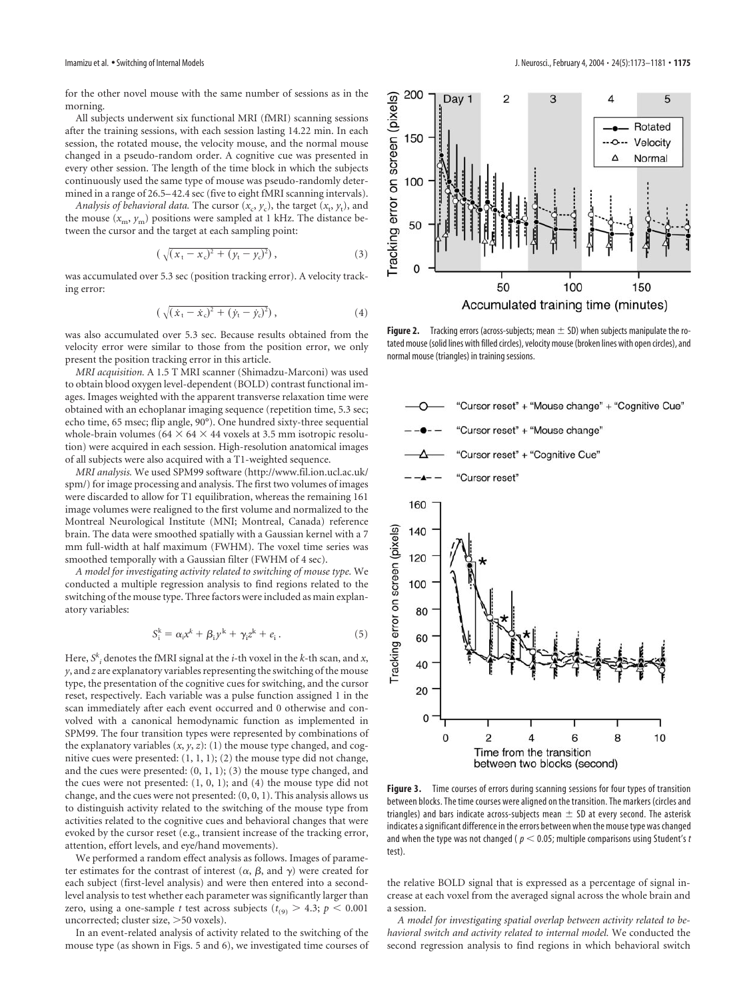for the other novel mouse with the same number of sessions as in the morning.

All subjects underwent six functional MRI (fMRI) scanning sessions after the training sessions, with each session lasting 14.22 min. In each session, the rotated mouse, the velocity mouse, and the normal mouse changed in a pseudo-random order. A cognitive cue was presented in every other session. The length of the time block in which the subjects continuously used the same type of mouse was pseudo-randomly determined in a range of 26.5–42.4 sec (five to eight fMRI scanning intervals).

*Analysis of behavioral data*. The cursor  $(x_c, y_c)$ , the target  $(x_t, y_t)$ , and the mouse  $(x_m, y_m)$  positions were sampled at 1 kHz. The distance between the cursor and the target at each sampling point:

$$
(\sqrt{(x_t - x_c)^2 + (y_t - y_c)^2}), \qquad (3)
$$

was accumulated over 5.3 sec (position tracking error). A velocity tracking error:

$$
(\sqrt{(\dot{x}_t - \dot{x}_c)^2 + (\dot{y}_t - \dot{y}_c)^2}), \qquad (4)
$$

was also accumulated over 5.3 sec. Because results obtained from the velocity error were similar to those from the position error, we only present the position tracking error in this article.

*MRI acquisition.* A 1.5 T MRI scanner (Shimadzu-Marconi) was used to obtain blood oxygen level-dependent (BOLD) contrast functional images. Images weighted with the apparent transverse relaxation time were obtained with an echoplanar imaging sequence (repetition time, 5.3 sec; echo time, 65 msec; flip angle, 90°). One hundred sixty-three sequential whole-brain volumes (64  $\times$  64  $\times$  44 voxels at 3.5 mm isotropic resolution) were acquired in each session. High-resolution anatomical images of all subjects were also acquired with a T1-weighted sequence.

*MRI analysis.* We used SPM99 software (http://www.fil.ion.ucl.ac.uk/ spm/) for image processing and analysis. The first two volumes of images were discarded to allow for T1 equilibration, whereas the remaining 161 image volumes were realigned to the first volume and normalized to the Montreal Neurological Institute (MNI; Montreal, Canada) reference brain. The data were smoothed spatially with a Gaussian kernel with a 7 mm full-width at half maximum (FWHM). The voxel time series was smoothed temporally with a Gaussian filter (FWHM of 4 sec).

*A model for investigating activity related to switching of mouse type.* We conducted a multiple regression analysis to find regions related to the switching of the mouse type. Three factors were included as main explanatory variables:

$$
S_i^k = \alpha_i x^k + \beta_i y^k + \gamma_i z^k + e_i.
$$
 (5)

Here,  $S^k$ <sub>*i*</sub> denotes the fMRI signal at the *i*-th voxel in the *k*-th scan, and *x*, *y*, and *z* are explanatory variables representing the switching of the mouse type, the presentation of the cognitive cues for switching, and the cursor reset, respectively. Each variable was a pulse function assigned 1 in the scan immediately after each event occurred and 0 otherwise and convolved with a canonical hemodynamic function as implemented in SPM99. The four transition types were represented by combinations of the explanatory variables  $(x, y, z)$ : (1) the mouse type changed, and cognitive cues were presented: (1, 1, 1); (2) the mouse type did not change, and the cues were presented:  $(0, 1, 1)$ ;  $(3)$  the mouse type changed, and the cues were not presented:  $(1, 0, 1)$ ; and  $(4)$  the mouse type did not change, and the cues were not presented: (0, 0, 1). This analysis allows us to distinguish activity related to the switching of the mouse type from activities related to the cognitive cues and behavioral changes that were evoked by the cursor reset (e.g., transient increase of the tracking error, attention, effort levels, and eye/hand movements).

We performed a random effect analysis as follows. Images of parameter estimates for the contrast of interest  $(\alpha, \beta, \text{ and } \gamma)$  were created for each subject (first-level analysis) and were then entered into a secondlevel analysis to test whether each parameter was significantly larger than zero, using a one-sample *t* test across subjects ( $t_{(9)} > 4.3$ ;  $p < 0.001$ ) uncorrected; cluster size, >50 voxels).

In an event-related analysis of activity related to the switching of the mouse type (as shown in Figs. 5 and 6), we investigated time courses of



**Figure 2.** Tracking errors (across-subjects; mean  $\pm$  SD) when subjects manipulate the rotated mouse (solid lines with filled circles), velocity mouse (broken lines with open circles), and normal mouse (triangles) in training sessions.



**Figure 3.** Time courses of errors during scanning sessions for four types of transition between blocks. The time courses were aligned on the transition. The markers (circles and triangles) and bars indicate across-subjects mean  $\pm$  SD at every second. The asterisk indicates a significant difference in the errors between when the mouse type was changed and when the type was not changed ( $p < 0.05$ ; multiple comparisons using Student's t test).

the relative BOLD signal that is expressed as a percentage of signal increase at each voxel from the averaged signal across the whole brain and a session.

*A model for investigating spatial overlap between activity related to behavioral switch and activity related to internal model.* We conducted the second regression analysis to find regions in which behavioral switch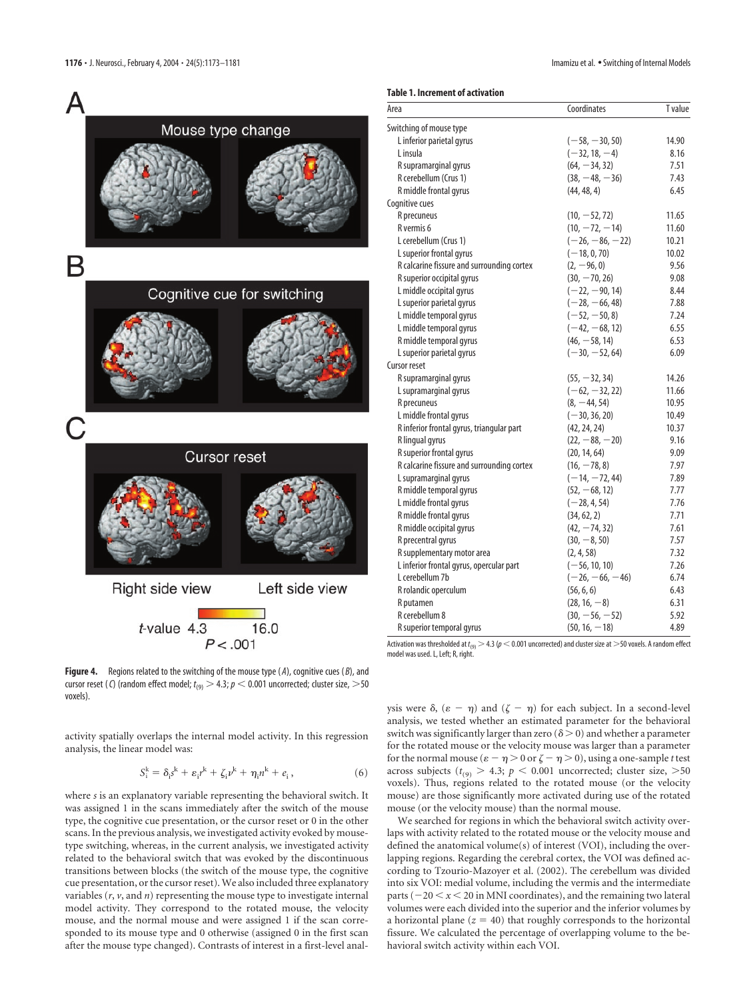

**Figure 4.** Regions related to the switching of the mouse type ( *A*), cognitive cues ( *B*), and cursor reset (*C*) (random effect model;  $t_{(9)} > 4.3$ ;  $p < 0.001$  uncorrected; cluster size,  $>$  50 voxels).

activity spatially overlaps the internal model activity. In this regression analysis, the linear model was:

$$
S_i^k = \delta_i s^k + \varepsilon_i r^k + \zeta_i r^k + \eta_i n^k + \varepsilon_i, \qquad (6)
$$

where *s* is an explanatory variable representing the behavioral switch. It was assigned 1 in the scans immediately after the switch of the mouse type, the cognitive cue presentation, or the cursor reset or 0 in the other scans. In the previous analysis, we investigated activity evoked by mousetype switching, whereas, in the current analysis, we investigated activity related to the behavioral switch that was evoked by the discontinuous transitions between blocks (the switch of the mouse type, the cognitive cue presentation, or the cursor reset). We also included three explanatory variables  $(r, v, \text{ and } n)$  representing the mouse type to investigate internal model activity. They correspond to the rotated mouse, the velocity mouse, and the normal mouse and were assigned 1 if the scan corresponded to its mouse type and 0 otherwise (assigned 0 in the first scan after the mouse type changed). Contrasts of interest in a first-level anal-

#### **Table 1. Increment of activation**

| Area                                       | Coordinates       | T value |  |
|--------------------------------------------|-------------------|---------|--|
| Switching of mouse type                    |                   |         |  |
| L inferior parietal gyrus                  | $(-58, -30, 50)$  | 14.90   |  |
| L insula                                   | $(-32, 18, -4)$   | 8.16    |  |
| R supramarginal gyrus                      | $(64, -34, 32)$   | 7.51    |  |
| R cerebellum (Crus 1)                      | $(38, -48, -36)$  | 7.43    |  |
| R middle frontal gyrus                     | (44, 48, 4)       | 6.45    |  |
| Cognitive cues                             |                   |         |  |
| R precuneus                                | $(10, -52, 72)$   | 11.65   |  |
| R vermis 6                                 | $(10, -72, -14)$  | 11.60   |  |
| L cerebellum (Crus 1)                      | $(-26, -86, -22)$ | 10.21   |  |
| L superior frontal gyrus                   | $(-18, 0, 70)$    | 10.02   |  |
| R calcarine fissure and surrounding cortex | $(2, -96, 0)$     | 9.56    |  |
| R superior occipital gyrus                 | $(30, -70, 26)$   | 9.08    |  |
| L middle occipital gyrus                   | $(-22, -90, 14)$  | 8.44    |  |
| L superior parietal gyrus                  | $(-28, -66, 48)$  | 7.88    |  |
| L middle temporal gyrus                    | $(-52, -50, 8)$   | 7.24    |  |
| L middle temporal gyrus                    | $(-42, -68, 12)$  | 6.55    |  |
| R middle temporal gyrus                    | $(46, -58, 14)$   | 6.53    |  |
| L superior parietal gyrus                  | $(-30, -52, 64)$  | 6.09    |  |
| Cursor reset                               |                   |         |  |
| R supramarginal gyrus                      | $(55, -32, 34)$   | 14.26   |  |
| L supramarginal gyrus                      | $(-62, -32, 22)$  | 11.66   |  |
| R precuneus                                | $(8, -44, 54)$    | 10.95   |  |
| L middle frontal gyrus                     | $(-30, 36, 20)$   | 10.49   |  |
| R inferior frontal gyrus, triangular part  | (42, 24, 24)      | 10.37   |  |
| R lingual gyrus                            | $(22, -88, -20)$  | 9.16    |  |
| R superior frontal gyrus                   | (20, 14, 64)      | 9.09    |  |
| R calcarine fissure and surrounding cortex | $(16, -78, 8)$    | 7.97    |  |
| L supramarginal gyrus                      | $(-14, -72, 44)$  | 7.89    |  |
| R middle temporal gyrus                    | $(52, -68, 12)$   | 7.77    |  |
| L middle frontal gyrus                     | $(-28, 4, 54)$    | 7.76    |  |
| R middle frontal gyrus                     | (34, 62, 2)       | 7.71    |  |
| R middle occipital gyrus                   | $(42, -74, 32)$   | 7.61    |  |
| R precentral gyrus                         | $(30, -8, 50)$    | 7.57    |  |
| R supplementary motor area                 | (2, 4, 58)        | 7.32    |  |
| L inferior frontal gyrus, opercular part   | $(-56, 10, 10)$   | 7.26    |  |
| L cerebellum 7b                            | $(-26, -66, -46)$ | 6.74    |  |
| R rolandic operculum                       | (56, 6, 6)        | 6.43    |  |
| R putamen                                  | $(28, 16, -8)$    | 6.31    |  |
| R cerebellum 8                             | $(30, -56, -52)$  | 5.92    |  |
| R superior temporal gyrus                  | $(50, 16, -18)$   | 4.89    |  |
|                                            |                   |         |  |

Activation was thresholded at  $t_{(9)} > 4.3$  ( $p < 0.001$  uncorrected) and cluster size at  $>$  50 voxels. A random effect model was used. L, Left; R, right.

ysis were  $\delta$ ,  $(\varepsilon - \eta)$  and  $(\zeta - \eta)$  for each subject. In a second-level analysis, we tested whether an estimated parameter for the behavioral switch was significantly larger than zero ( $\delta$  > 0) and whether a parameter for the rotated mouse or the velocity mouse was larger than a parameter for the normal mouse ( $\varepsilon - \eta > 0$  or  $\zeta - \eta > 0$ ), using a one-sample *t* test across subjects ( $t_{(9)} > 4.3$ ;  $p < 0.001$  uncorrected; cluster size,  $> 50$ voxels). Thus, regions related to the rotated mouse (or the velocity mouse) are those significantly more activated during use of the rotated mouse (or the velocity mouse) than the normal mouse.

We searched for regions in which the behavioral switch activity overlaps with activity related to the rotated mouse or the velocity mouse and defined the anatomical volume(s) of interest (VOI), including the overlapping regions. Regarding the cerebral cortex, the VOI was defined according to Tzourio-Mazoyer et al. (2002). The cerebellum was divided into six VOI: medial volume, including the vermis and the intermediate parts ( $-20 < x < 20$  in MNI coordinates), and the remaining two lateral volumes were each divided into the superior and the inferior volumes by a horizontal plane  $(z = 40)$  that roughly corresponds to the horizontal fissure. We calculated the percentage of overlapping volume to the behavioral switch activity within each VOI.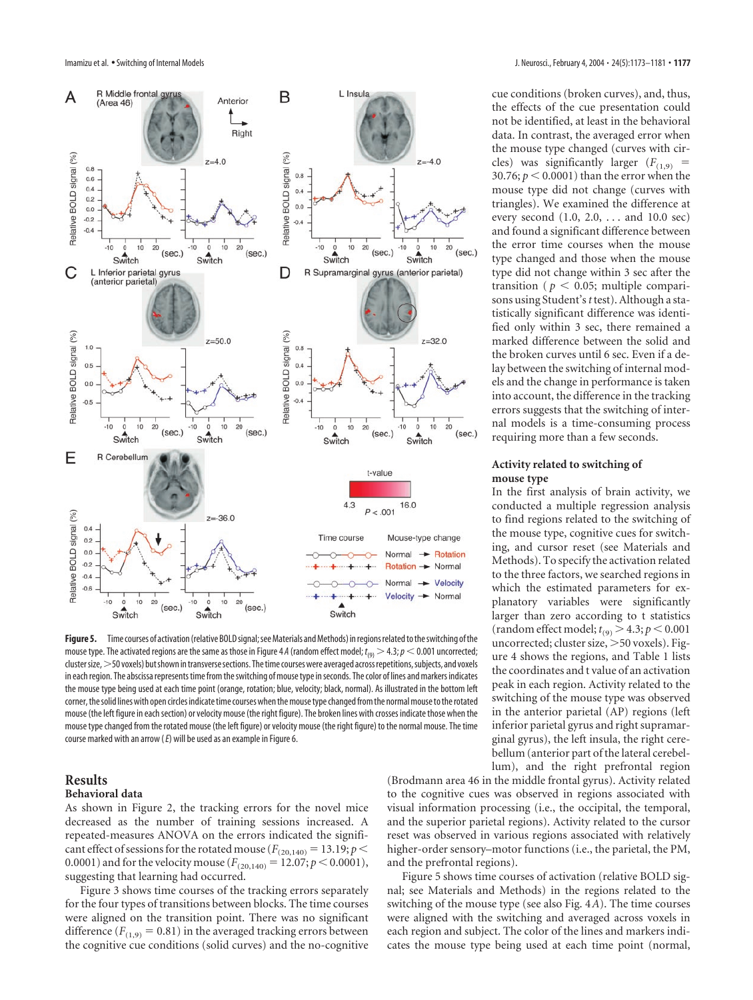

**Figure 5.** Time courses of activation (relative BOLD signal; see Materials and Methods) in regions related to the switching of the mouse type. The activated regions are the same as those in Figure 4A (random effect model;  $t_{(9)} > 4.3$ ;  $p < 0.001$  uncorrected; cluster size,  $>$  50 voxels) but shown in transverse sections. The time courses were averaged across repetitions, subjects, and voxels in each region. The abscissa represents time from the switching of mouse type in seconds. The color of lines and markers indicates the mouse type being used at each time point (orange, rotation; blue, velocity; black, normal). As illustrated in the bottom left corner, the solid lines with open circles indicate time courses when the mouse type changed from the normal mouse to the rotated mouse (the left figure in each section) or velocity mouse (the right figure). The broken lines with crosses indicate those when the mouse type changed from the rotated mouse (the left figure) or velocity mouse (the right figure) to the normal mouse. The time course marked with an arrow (*E*) will be used as an example in Figure 6.

## **Results Behavioral data**

As shown in Figure 2, the tracking errors for the novel mice decreased as the number of training sessions increased. A repeated-measures ANOVA on the errors indicated the significant effect of sessions for the rotated mouse ( $F_{(20,140)} = 13.19; p <$ 0.0001) and for the velocity mouse  $(F_{(20,140)} = 12.07; p < 0.0001)$ , suggesting that learning had occurred.

Figure 3 shows time courses of the tracking errors separately for the four types of transitions between blocks. The time courses were aligned on the transition point. There was no significant difference ( $F_{(1,9)} = 0.81$ ) in the averaged tracking errors between the cognitive cue conditions (solid curves) and the no-cognitive cue conditions (broken curves), and, thus, the effects of the cue presentation could not be identified, at least in the behavioral data. In contrast, the averaged error when the mouse type changed (curves with circles) was significantly larger  $(F_{(1,9)})$  = 30.76;  $p < 0.0001$ ) than the error when the mouse type did not change (curves with triangles). We examined the difference at every second (1.0, 2.0, . . . and 10.0 sec) and found a significant difference between the error time courses when the mouse type changed and those when the mouse type did not change within 3 sec after the transition ( $p < 0.05$ ; multiple comparisons using Student's*t* test). Although a statistically significant difference was identified only within 3 sec, there remained a marked difference between the solid and the broken curves until 6 sec. Even if a delay between the switching of internal models and the change in performance is taken into account, the difference in the tracking errors suggests that the switching of internal models is a time-consuming process requiring more than a few seconds.

#### **Activity related to switching of mouse type**

In the first analysis of brain activity, we conducted a multiple regression analysis to find regions related to the switching of the mouse type, cognitive cues for switching, and cursor reset (see Materials and Methods). To specify the activation related to the three factors, we searched regions in which the estimated parameters for explanatory variables were significantly larger than zero according to t statistics (random effect model;  $t_{(9)}$  > 4.3;  $p$  < 0.001 uncorrected; cluster size, >50 voxels). Figure 4 shows the regions, and Table 1 lists the coordinates and t value of an activation peak in each region. Activity related to the switching of the mouse type was observed in the anterior parietal (AP) regions (left inferior parietal gyrus and right supramarginal gyrus), the left insula, the right cerebellum (anterior part of the lateral cerebellum), and the right prefrontal region

(Brodmann area 46 in the middle frontal gyrus). Activity related to the cognitive cues was observed in regions associated with visual information processing (i.e., the occipital, the temporal, and the superior parietal regions). Activity related to the cursor reset was observed in various regions associated with relatively higher-order sensory–motor functions (i.e., the parietal, the PM, and the prefrontal regions).

Figure 5 shows time courses of activation (relative BOLD signal; see Materials and Methods) in the regions related to the switching of the mouse type (see also Fig. 4*A*). The time courses were aligned with the switching and averaged across voxels in each region and subject. The color of the lines and markers indicates the mouse type being used at each time point (normal,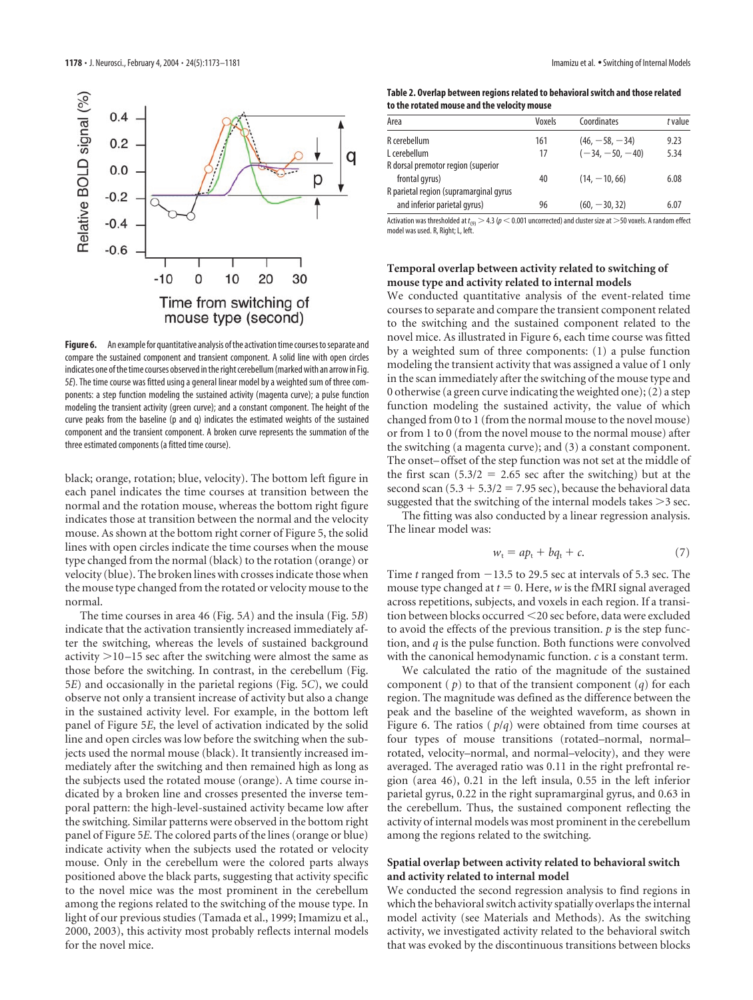

**Figure 6.** An example for quantitative analysis of the activation time courses to separate and compare the sustained component and transient component. A solid line with open circles indicates one of the time courses observed in the right cerebellum (marked with an arrow in Fig. 5*E*). The time course was fitted using a general linear model by a weighted sum of three components: a step function modeling the sustained activity (magenta curve); a pulse function modeling the transient activity (green curve); and a constant component. The height of the curve peaks from the baseline (p and q) indicates the estimated weights of the sustained component and the transient component. A broken curve represents the summation of the three estimated components (a fitted time course).

black; orange, rotation; blue, velocity). The bottom left figure in each panel indicates the time courses at transition between the normal and the rotation mouse, whereas the bottom right figure indicates those at transition between the normal and the velocity mouse. As shown at the bottom right corner of Figure 5, the solid lines with open circles indicate the time courses when the mouse type changed from the normal (black) to the rotation (orange) or velocity (blue). The broken lines with crosses indicate those when the mouse type changed from the rotated or velocity mouse to the normal.

The time courses in area 46 (Fig. 5*A*) and the insula (Fig. 5*B*) indicate that the activation transiently increased immediately after the switching, whereas the levels of sustained background activity  $>$ 10–15 sec after the switching were almost the same as those before the switching. In contrast, in the cerebellum (Fig. 5*E*) and occasionally in the parietal regions (Fig. 5*C*), we could observe not only a transient increase of activity but also a change in the sustained activity level. For example, in the bottom left panel of Figure 5*E*, the level of activation indicated by the solid line and open circles was low before the switching when the subjects used the normal mouse (black). It transiently increased immediately after the switching and then remained high as long as the subjects used the rotated mouse (orange). A time course indicated by a broken line and crosses presented the inverse temporal pattern: the high-level-sustained activity became low after the switching. Similar patterns were observed in the bottom right panel of Figure 5*E*. The colored parts of the lines (orange or blue) indicate activity when the subjects used the rotated or velocity mouse. Only in the cerebellum were the colored parts always positioned above the black parts, suggesting that activity specific to the novel mice was the most prominent in the cerebellum among the regions related to the switching of the mouse type. In light of our previous studies (Tamada et al., 1999; Imamizu et al., 2000, 2003), this activity most probably reflects internal models for the novel mice.

| Table 2. Overlap between regions related to behavioral switch and those related |
|---------------------------------------------------------------------------------|
| to the rotated mouse and the velocity mouse                                     |

| Area                                   | <b>Voxels</b> | Coordinates       | t value |
|----------------------------------------|---------------|-------------------|---------|
| R cerebellum                           | 161           | $(46, -58, -34)$  | 9.23    |
| L cerebellum                           | 17            | $(-34, -50, -40)$ | 5.34    |
| R dorsal premotor region (superior     |               |                   |         |
| frontal gyrus)                         | 40            | $(14, -10, 66)$   | 6.08    |
| R parietal region (supramarginal gyrus |               |                   |         |
| and inferior parietal gyrus)           | 96            | $(60, -30, 32)$   | 6.07    |

Activation was thresholded at  $t_{(9)}$   $>$  4.3 ( $p$   $<$  0.001 uncorrected) and cluster size at  $>$  50 voxels. A random effect model was used. R, Right; L, left.

#### **Temporal overlap between activity related to switching of mouse type and activity related to internal models**

We conducted quantitative analysis of the event-related time courses to separate and compare the transient component related to the switching and the sustained component related to the novel mice. As illustrated in Figure 6, each time course was fitted by a weighted sum of three components: (1) a pulse function modeling the transient activity that was assigned a value of 1 only in the scan immediately after the switching of the mouse type and 0 otherwise (a green curve indicating the weighted one); (2) a step function modeling the sustained activity, the value of which changed from 0 to 1 (from the normal mouse to the novel mouse) or from 1 to 0 (from the novel mouse to the normal mouse) after the switching (a magenta curve); and (3) a constant component. The onset–offset of the step function was not set at the middle of the first scan  $(5.3/2 = 2.65$  sec after the switching) but at the second scan  $(5.3 + 5.3/2 = 7.95 \text{ sec})$ , because the behavioral data suggested that the switching of the internal models takes  $>$ 3 sec.

The fitting was also conducted by a linear regression analysis. The linear model was:

$$
w_{t} = ap_{t} + bq_{t} + c.
$$
 (7)

Time  $t$  ranged from  $-13.5$  to 29.5 sec at intervals of 5.3 sec. The mouse type changed at  $t = 0$ . Here, *w* is the fMRI signal averaged across repetitions, subjects, and voxels in each region. If a transition between blocks occurred 20 sec before, data were excluded to avoid the effects of the previous transition. *p* is the step function, and *q* is the pulse function. Both functions were convolved with the canonical hemodynamic function. *c* is a constant term.

We calculated the ratio of the magnitude of the sustained component  $(p)$  to that of the transient component  $(q)$  for each region. The magnitude was defined as the difference between the peak and the baseline of the weighted waveform, as shown in Figure 6. The ratios ( *p*/*q*) were obtained from time courses at four types of mouse transitions (rotated–normal, normal– rotated, velocity–normal, and normal–velocity), and they were averaged. The averaged ratio was 0.11 in the right prefrontal region (area 46), 0.21 in the left insula, 0.55 in the left inferior parietal gyrus, 0.22 in the right supramarginal gyrus, and 0.63 in the cerebellum. Thus, the sustained component reflecting the activity of internal models was most prominent in the cerebellum among the regions related to the switching.

### **Spatial overlap between activity related to behavioral switch and activity related to internal model**

We conducted the second regression analysis to find regions in which the behavioral switch activity spatially overlaps the internal model activity (see Materials and Methods). As the switching activity, we investigated activity related to the behavioral switch that was evoked by the discontinuous transitions between blocks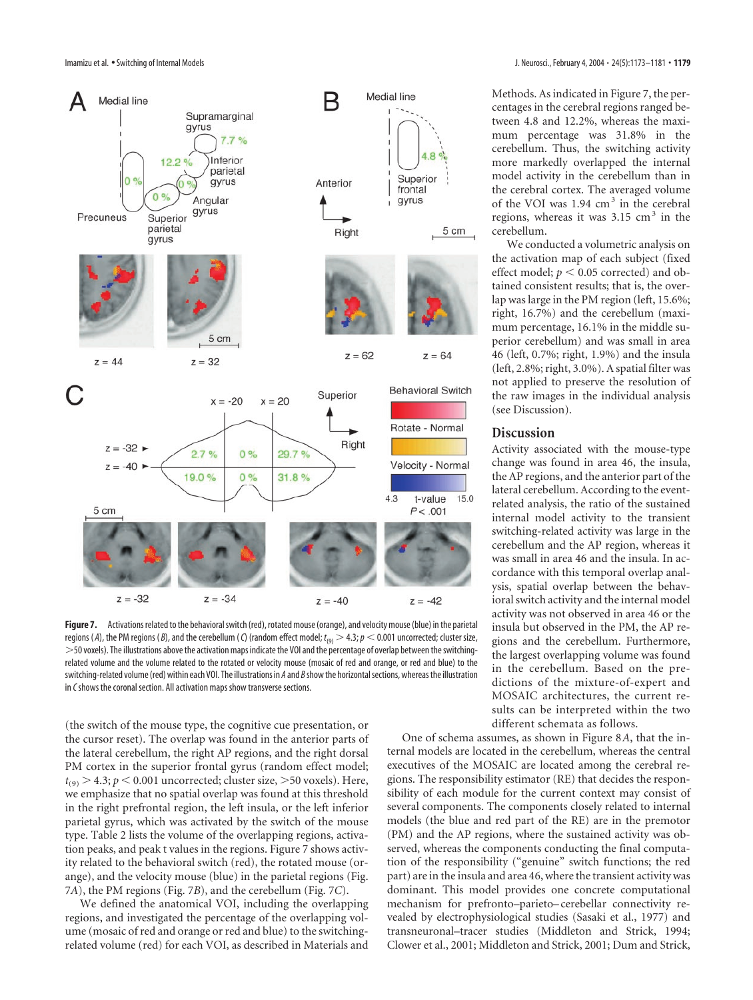

**Figure 7.** Activations related to the behavioral switch (red), rotated mouse (orange), and velocity mouse (blue) in the parietal regions (A), the PM regions (B), and the cerebellum (C) (random effect model;  $t_{(9)}$   $>$  4.3;  $p$   $<$  0.001 uncorrected; cluster size,  $>$  50 voxels). The illustrations above the activation maps indicate the VOI and the percentage of overlap between the switchingrelated volume and the volume related to the rotated or velocity mouse (mosaic of red and orange, or red and blue) to the switching-related volume (red) within each VOI. The illustrations in *A* and *B* show the horizontal sections, whereas the illustration in *C*shows the coronal section. All activation maps show transverse sections.

(the switch of the mouse type, the cognitive cue presentation, or the cursor reset). The overlap was found in the anterior parts of the lateral cerebellum, the right AP regions, and the right dorsal PM cortex in the superior frontal gyrus (random effect model;  $t_{(9)} > 4.3$ ;  $p < 0.001$  uncorrected; cluster size,  $> 50$  voxels). Here, we emphasize that no spatial overlap was found at this threshold in the right prefrontal region, the left insula, or the left inferior parietal gyrus, which was activated by the switch of the mouse type. Table 2 lists the volume of the overlapping regions, activation peaks, and peak t values in the regions. Figure 7 shows activity related to the behavioral switch (red), the rotated mouse (orange), and the velocity mouse (blue) in the parietal regions (Fig. 7*A*), the PM regions (Fig. 7*B*), and the cerebellum (Fig. 7*C*).

We defined the anatomical VOI, including the overlapping regions, and investigated the percentage of the overlapping volume (mosaic of red and orange or red and blue) to the switchingrelated volume (red) for each VOI, as described in Materials and Methods. As indicated in Figure 7, the percentages in the cerebral regions ranged between 4.8 and 12.2%, whereas the maximum percentage was 31.8% in the cerebellum. Thus, the switching activity more markedly overlapped the internal model activity in the cerebellum than in the cerebral cortex. The averaged volume of the VOI was  $1.94 \text{ cm}^3$  in the cerebral regions, whereas it was  $3.15 \text{ cm}^3$  in the cerebellum.

We conducted a volumetric analysis on the activation map of each subject (fixed effect model;  $p < 0.05$  corrected) and obtained consistent results; that is, the overlap was large in the PM region (left, 15.6%; right, 16.7%) and the cerebellum (maximum percentage, 16.1% in the middle superior cerebellum) and was small in area 46 (left, 0.7%; right, 1.9%) and the insula (left, 2.8%; right, 3.0%). A spatial filter was not applied to preserve the resolution of the raw images in the individual analysis (see Discussion).

### **Discussion**

Activity associated with the mouse-type change was found in area 46, the insula, the AP regions, and the anterior part of the lateral cerebellum. According to the eventrelated analysis, the ratio of the sustained internal model activity to the transient switching-related activity was large in the cerebellum and the AP region, whereas it was small in area 46 and the insula. In accordance with this temporal overlap analysis, spatial overlap between the behavioral switch activity and the internal model activity was not observed in area 46 or the insula but observed in the PM, the AP regions and the cerebellum. Furthermore, the largest overlapping volume was found in the cerebellum. Based on the predictions of the mixture-of-expert and MOSAIC architectures, the current results can be interpreted within the two different schemata as follows.

One of schema assumes, as shown in Figure 8*A*, that the internal models are located in the cerebellum, whereas the central executives of the MOSAIC are located among the cerebral regions. The responsibility estimator (RE) that decides the responsibility of each module for the current context may consist of several components. The components closely related to internal models (the blue and red part of the RE) are in the premotor (PM) and the AP regions, where the sustained activity was observed, whereas the components conducting the final computation of the responsibility ("genuine" switch functions; the red part) are in the insula and area 46, where the transient activity was dominant. This model provides one concrete computational mechanism for prefronto–parieto–cerebellar connectivity revealed by electrophysiological studies (Sasaki et al., 1977) and transneuronal–tracer studies (Middleton and Strick, 1994; Clower et al., 2001; Middleton and Strick, 2001; Dum and Strick,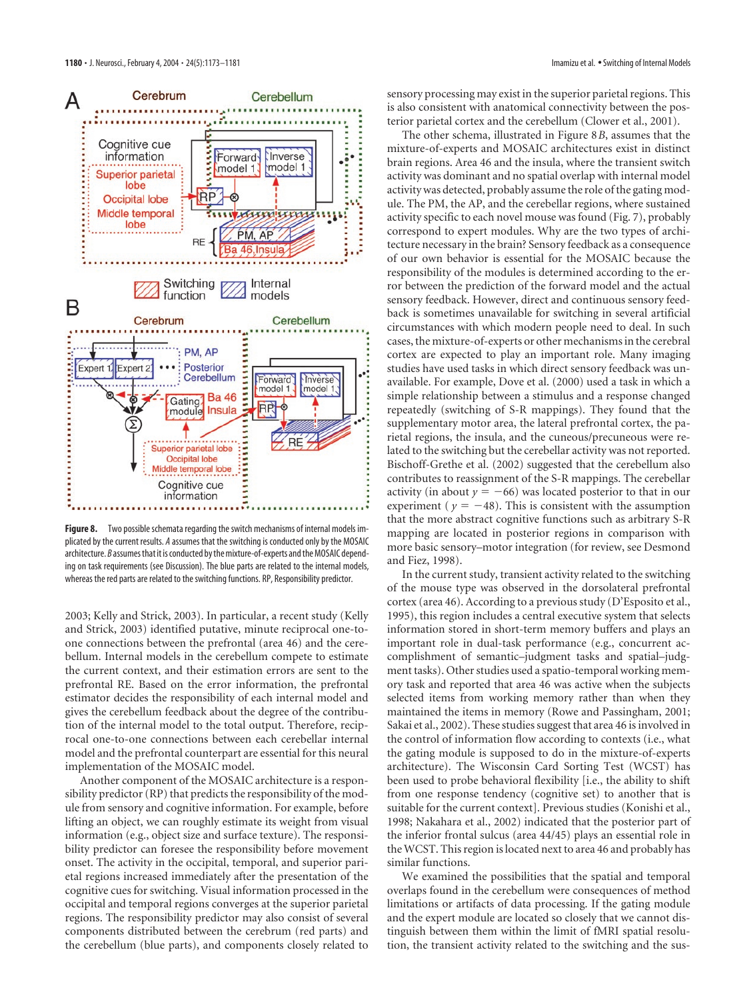

**Figure 8.** Two possible schemata regarding the switch mechanisms of internal models implicated by the current results. *A* assumes that the switching is conducted only by the MOSAIC architecture. *B* assumes that it is conducted by the mixture-of-experts and the MOSAIC depending on task requirements (see Discussion). The blue parts are related to the internal models, whereas the red parts are related to the switching functions. RP, Responsibility predictor.

2003; Kelly and Strick, 2003). In particular, a recent study (Kelly and Strick, 2003) identified putative, minute reciprocal one-toone connections between the prefrontal (area 46) and the cerebellum. Internal models in the cerebellum compete to estimate the current context, and their estimation errors are sent to the prefrontal RE. Based on the error information, the prefrontal estimator decides the responsibility of each internal model and gives the cerebellum feedback about the degree of the contribution of the internal model to the total output. Therefore, reciprocal one-to-one connections between each cerebellar internal model and the prefrontal counterpart are essential for this neural implementation of the MOSAIC model.

Another component of the MOSAIC architecture is a responsibility predictor (RP) that predicts the responsibility of the module from sensory and cognitive information. For example, before lifting an object, we can roughly estimate its weight from visual information (e.g., object size and surface texture). The responsibility predictor can foresee the responsibility before movement onset. The activity in the occipital, temporal, and superior parietal regions increased immediately after the presentation of the cognitive cues for switching. Visual information processed in the occipital and temporal regions converges at the superior parietal regions. The responsibility predictor may also consist of several components distributed between the cerebrum (red parts) and the cerebellum (blue parts), and components closely related to

sensory processing may exist in the superior parietal regions. This is also consistent with anatomical connectivity between the posterior parietal cortex and the cerebellum (Clower et al., 2001).

The other schema, illustrated in Figure 8*B*, assumes that the mixture-of-experts and MOSAIC architectures exist in distinct brain regions. Area 46 and the insula, where the transient switch activity was dominant and no spatial overlap with internal model activity was detected, probably assume the role of the gating module. The PM, the AP, and the cerebellar regions, where sustained activity specific to each novel mouse was found (Fig. 7), probably correspond to expert modules. Why are the two types of architecture necessary in the brain? Sensory feedback as a consequence of our own behavior is essential for the MOSAIC because the responsibility of the modules is determined according to the error between the prediction of the forward model and the actual sensory feedback. However, direct and continuous sensory feedback is sometimes unavailable for switching in several artificial circumstances with which modern people need to deal. In such cases, the mixture-of-experts or other mechanisms in the cerebral cortex are expected to play an important role. Many imaging studies have used tasks in which direct sensory feedback was unavailable. For example, Dove et al. (2000) used a task in which a simple relationship between a stimulus and a response changed repeatedly (switching of S-R mappings). They found that the supplementary motor area, the lateral prefrontal cortex, the parietal regions, the insula, and the cuneous/precuneous were related to the switching but the cerebellar activity was not reported. Bischoff-Grethe et al. (2002) suggested that the cerebellum also contributes to reassignment of the S-R mappings. The cerebellar activity (in about  $y = -66$ ) was located posterior to that in our experiment ( $y = -48$ ). This is consistent with the assumption that the more abstract cognitive functions such as arbitrary S-R mapping are located in posterior regions in comparison with more basic sensory–motor integration (for review, see Desmond and Fiez, 1998).

In the current study, transient activity related to the switching of the mouse type was observed in the dorsolateral prefrontal cortex (area 46). According to a previous study (D'Esposito et al., 1995), this region includes a central executive system that selects information stored in short-term memory buffers and plays an important role in dual-task performance (e.g., concurrent accomplishment of semantic–judgment tasks and spatial–judgment tasks). Other studies used a spatio-temporal working memory task and reported that area 46 was active when the subjects selected items from working memory rather than when they maintained the items in memory (Rowe and Passingham, 2001; Sakai et al., 2002). These studies suggest that area 46 is involved in the control of information flow according to contexts (i.e., what the gating module is supposed to do in the mixture-of-experts architecture). The Wisconsin Card Sorting Test (WCST) has been used to probe behavioral flexibility [i.e., the ability to shift from one response tendency (cognitive set) to another that is suitable for the current context]. Previous studies (Konishi et al., 1998; Nakahara et al., 2002) indicated that the posterior part of the inferior frontal sulcus (area 44/45) plays an essential role in the WCST. This region is located next to area 46 and probably has similar functions.

We examined the possibilities that the spatial and temporal overlaps found in the cerebellum were consequences of method limitations or artifacts of data processing. If the gating module and the expert module are located so closely that we cannot distinguish between them within the limit of fMRI spatial resolution, the transient activity related to the switching and the sus